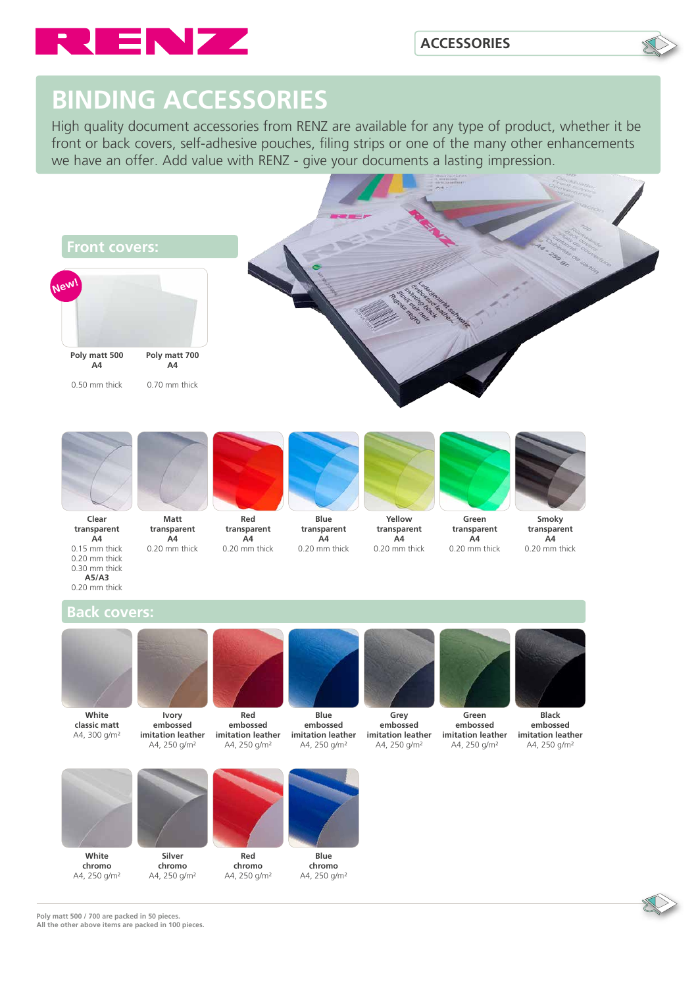

# **BINDING ACCESSORIES**

High quality document accessories from RENZ are available for any type of product, whether it be front or back covers, self-adhesive pouches, filing strips or one of the many other enhancements we have an offer. Add value with RENZ - give your documents a lasting impression.



**Poly matt 500 / 700 are packed in 50 pieces. All the other above items are packed in 100 pieces.**